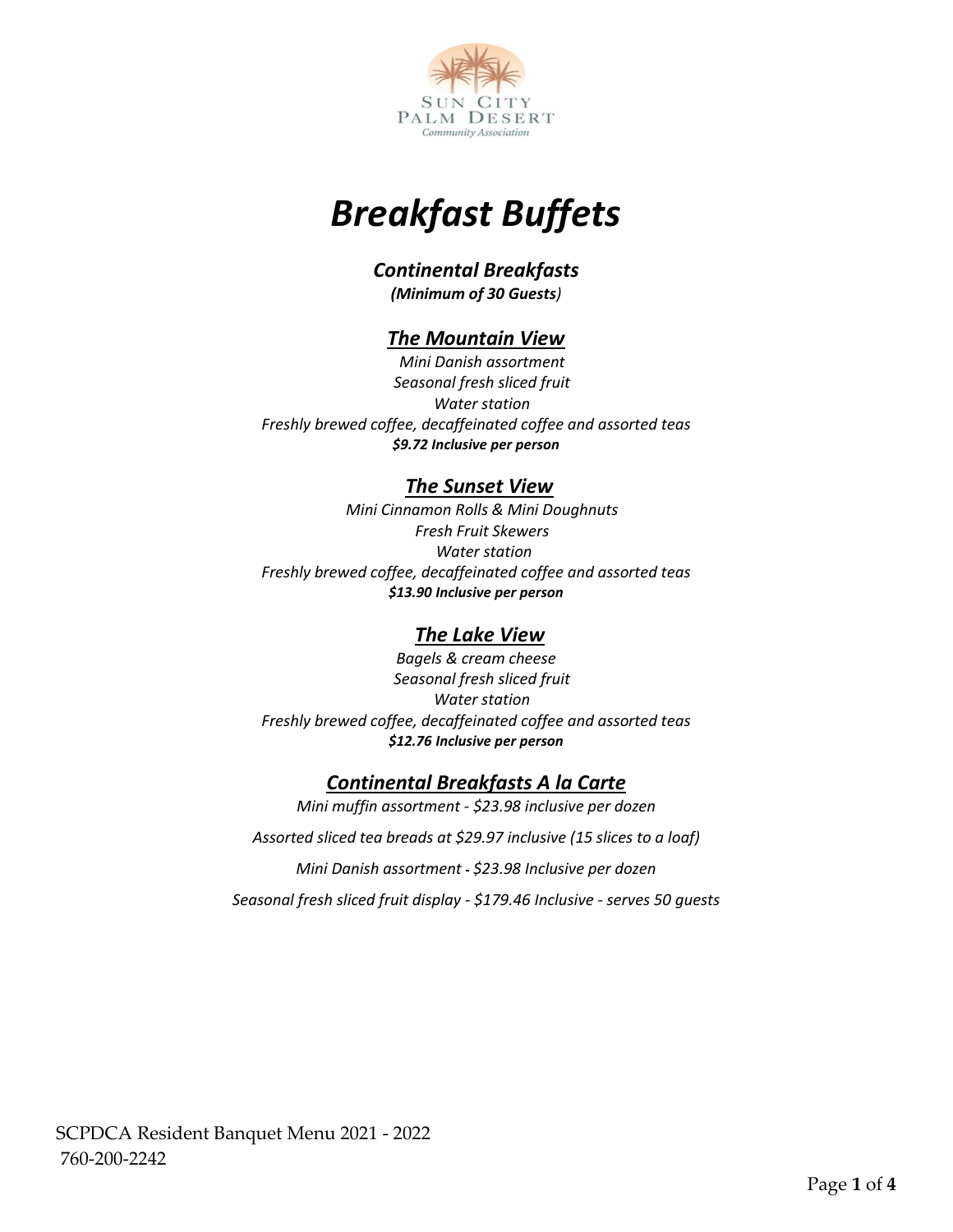

# *Breakfast Buffets*

## *Continental Breakfasts*

*(Minimum of 30 Guests)* 

#### *The Mountain View*

*Mini Danish assortment Seasonal fresh sliced fruit Water station Freshly brewed coffee, decaffeinated coffee and assorted teas \$9.72 Inclusive per person*

#### *The Sunset View*

*Mini Cinnamon Rolls & Mini Doughnuts Fresh Fruit Skewers Water station Freshly brewed coffee, decaffeinated coffee and assorted teas \$13.90 Inclusive per person*

#### *The Lake View*

*Bagels & cream cheese Seasonal fresh sliced fruit Water station Freshly brewed coffee, decaffeinated coffee and assorted teas \$12.76 Inclusive per person*

#### *Continental Breakfasts A la Carte*

*Mini muffin assortment - \$23.98 inclusive per dozen*

*Assorted sliced tea breads at \$29.97 inclusive (15 slices to a loaf)*

*Mini Danish assortment \$23.98 Inclusive per dozen*

*Seasonal fresh sliced fruit display - \$179.46 Inclusive - serves 50 guests*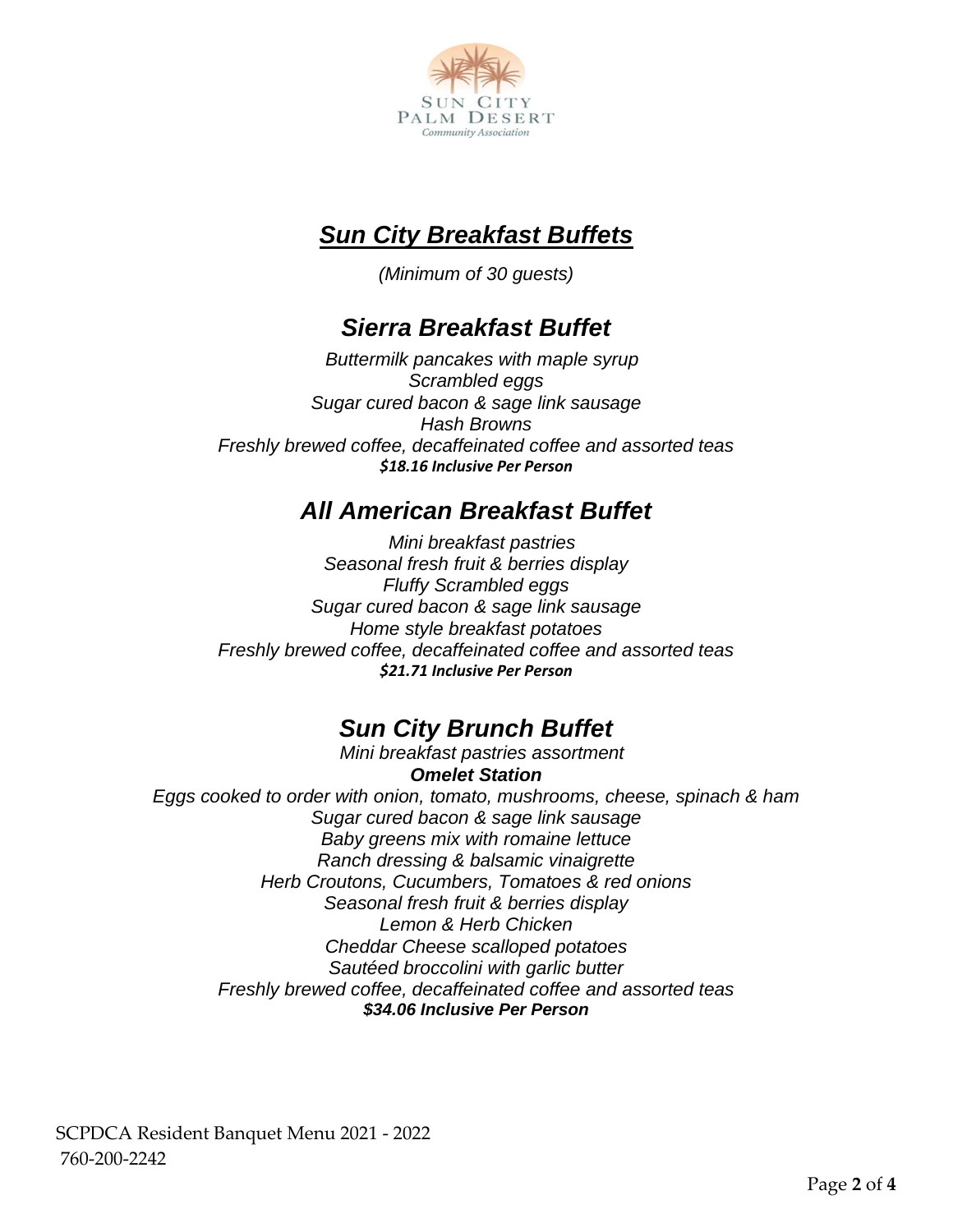

### *Sun City Breakfast Buffets*

*(Minimum of 30 guests)*

### *Sierra Breakfast Buffet*

*Buttermilk pancakes with maple syrup Scrambled eggs Sugar cured bacon & sage link sausage Hash Browns Freshly brewed coffee, decaffeinated coffee and assorted teas \$18.16 Inclusive Per Person*

### *All American Breakfast Buffet*

*Mini breakfast pastries Seasonal fresh fruit & berries display Fluffy Scrambled eggs Sugar cured bacon & sage link sausage Home style breakfast potatoes Freshly brewed coffee, decaffeinated coffee and assorted teas \$21.71 Inclusive Per Person*

### *Sun City Brunch Buffet*

*Mini breakfast pastries assortment Omelet Station Eggs cooked to order with onion, tomato, mushrooms, cheese, spinach & ham Sugar cured bacon & sage link sausage Baby greens mix with romaine lettuce Ranch dressing & balsamic vinaigrette Herb Croutons, Cucumbers, Tomatoes & red onions Seasonal fresh fruit & berries display Lemon & Herb Chicken Cheddar Cheese scalloped potatoes Sautéed broccolini with garlic butter Freshly brewed coffee, decaffeinated coffee and assorted teas \$34.06 Inclusive Per Person*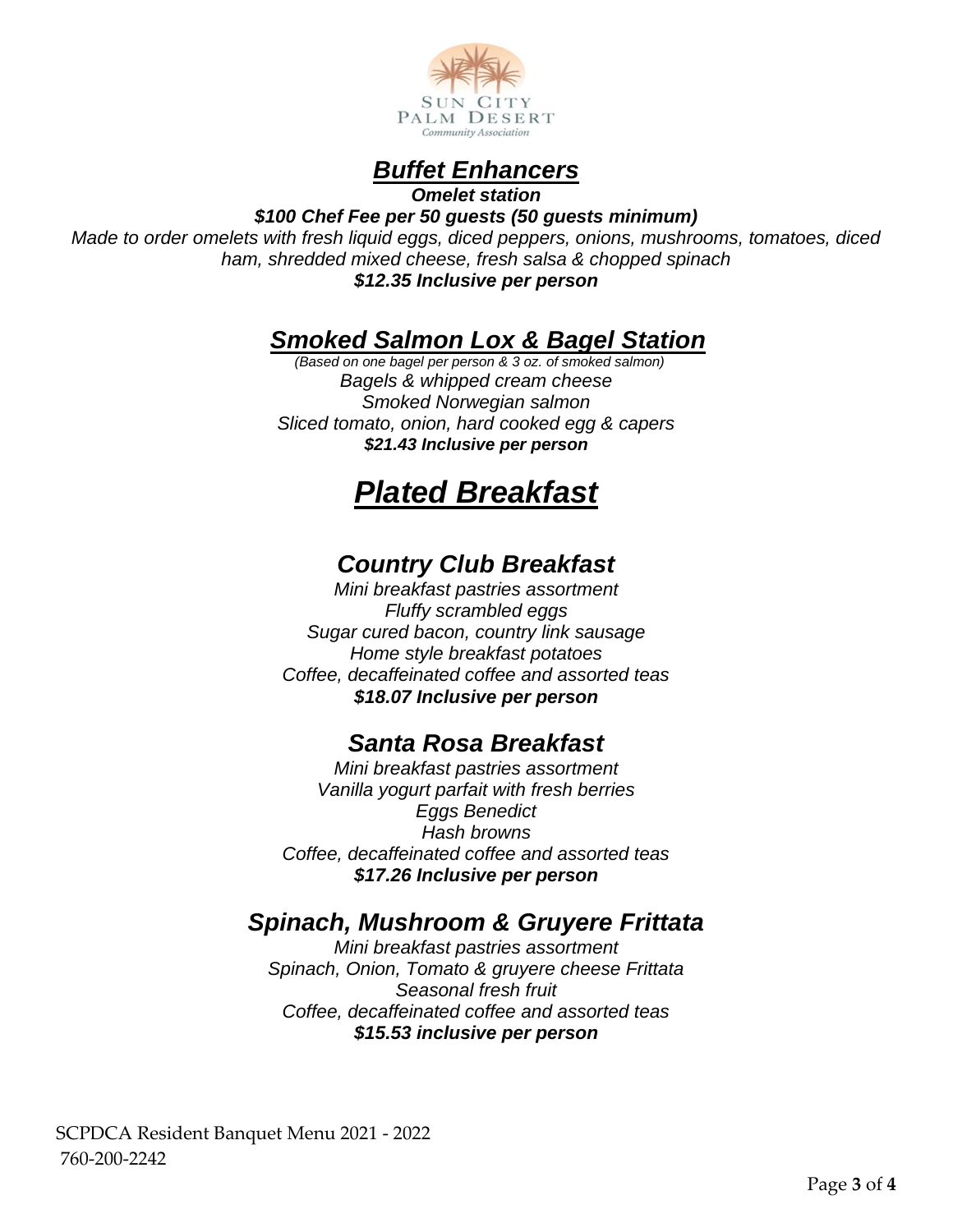



*Omelet station*

*\$100 Chef Fee per 50 guests (50 guests minimum) Made to order omelets with fresh liquid eggs, diced peppers, onions, mushrooms, tomatoes, diced ham, shredded mixed cheese, fresh salsa & chopped spinach \$12.35 Inclusive per person*

#### *Smoked Salmon Lox & Bagel Station*

*(Based on one bagel per person & 3 oz. of smoked salmon) Bagels & whipped cream cheese Smoked Norwegian salmon Sliced tomato, onion, hard cooked egg & capers \$21.43 Inclusive per person*

# *Plated Breakfast*

### *Country Club Breakfast*

*Mini breakfast pastries assortment Fluffy scrambled eggs Sugar cured bacon, country link sausage Home style breakfast potatoes Coffee, decaffeinated coffee and assorted teas \$18.07 Inclusive per person*

#### *Santa Rosa Breakfast*

*Mini breakfast pastries assortment Vanilla yogurt parfait with fresh berries Eggs Benedict Hash browns Coffee, decaffeinated coffee and assorted teas \$17.26 Inclusive per person*

### *Spinach, Mushroom & Gruyere Frittata*

*Mini breakfast pastries assortment Spinach, Onion, Tomato & gruyere cheese Frittata Seasonal fresh fruit Coffee, decaffeinated coffee and assorted teas \$15.53 inclusive per person*